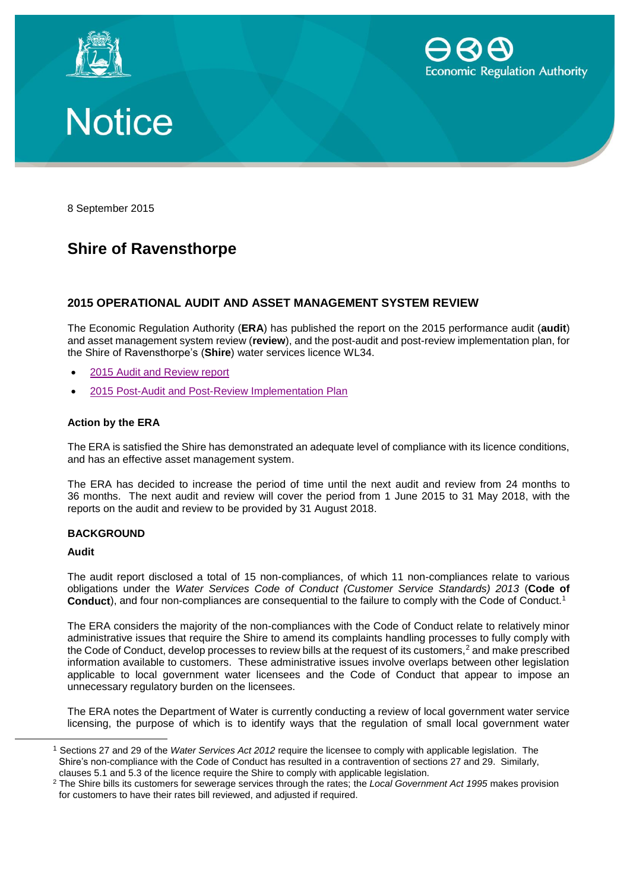





8 September 2015

# **Shire of Ravensthorpe**

## **2015 OPERATIONAL AUDIT AND ASSET MANAGEMENT SYSTEM REVIEW**

The Economic Regulation Authority (**ERA**) has published the report on the 2015 performance audit (**audit**) and asset management system review (**review**), and the post-audit and post-review implementation plan, for the Shire of Ravensthorpe's (**Shire**) water services licence WL34.

- 2015 [Audit and Review report](http://www.erawa.com.au/cproot/13861/2/2015%20Shire%20of%20Ravensthorpe%20Operational%20Audit%20and%20Asset%20Management%20Review%20Report.pdf)
- [2015 Post-Audit and Post-Review Implementation Plan](http://www.erawa.com.au/cproot/13862/2/2015%20Shire%20of%20Ravensthorpe%20Post-Audit%20and%20Post-Review%20Implementation%20Plan.pdf)

### **Action by the ERA**

The ERA is satisfied the Shire has demonstrated an adequate level of compliance with its licence conditions, and has an effective asset management system.

The ERA has decided to increase the period of time until the next audit and review from 24 months to 36 months. The next audit and review will cover the period from 1 June 2015 to 31 May 2018, with the reports on the audit and review to be provided by 31 August 2018.

#### **BACKGROUND**

#### **Audit**

 $\overline{a}$ 

The audit report disclosed a total of 15 non-compliances, of which 11 non-compliances relate to various obligations under the *Water Services Code of Conduct (Customer Service Standards) 2013* (**Code of Conduct**), and four non-compliances are consequential to the failure to comply with the Code of Conduct.<sup>1</sup>

The ERA considers the majority of the non-compliances with the Code of Conduct relate to relatively minor administrative issues that require the Shire to amend its complaints handling processes to fully comply with the Code of Conduct, develop processes to review bills at the request of its customers,<sup>2</sup> and make prescribed information available to customers. These administrative issues involve overlaps between other legislation applicable to local government water licensees and the Code of Conduct that appear to impose an unnecessary regulatory burden on the licensees.

The ERA notes the Department of Water is currently conducting a review of local government water service licensing, the purpose of which is to identify ways that the regulation of small local government water

<sup>1</sup> Sections 27 and 29 of the *Water Services Act 2012* require the licensee to comply with applicable legislation. The Shire's non-compliance with the Code of Conduct has resulted in a contravention of sections 27 and 29. Similarly, clauses 5.1 and 5.3 of the licence require the Shire to comply with applicable legislation.

<sup>2</sup> The Shire bills its customers for sewerage services through the rates; the *Local Government Act 1995* makes provision for customers to have their rates bill reviewed, and adjusted if required.